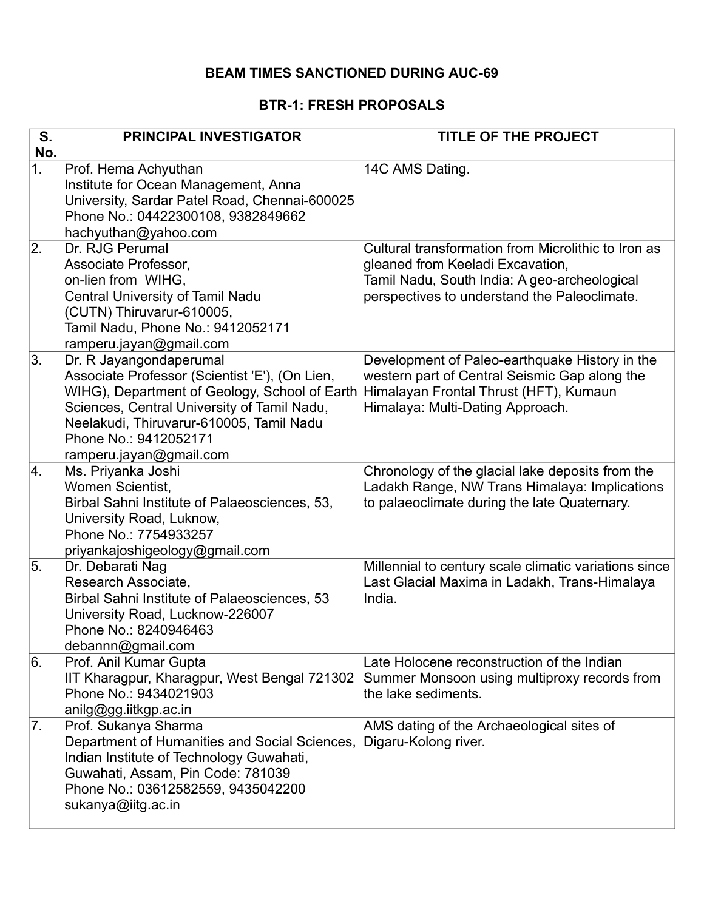### **BEAM TIMES SANCTIONED DURING AUC-69**

#### **BTR-1: FRESH PROPOSALS**

| S.<br>No. | <b>PRINCIPAL INVESTIGATOR</b>                                                                                                                                                                                                                                             | <b>TITLE OF THE PROJECT</b>                                                                                                                                                             |
|-----------|---------------------------------------------------------------------------------------------------------------------------------------------------------------------------------------------------------------------------------------------------------------------------|-----------------------------------------------------------------------------------------------------------------------------------------------------------------------------------------|
| 1.        | Prof. Hema Achyuthan<br>Institute for Ocean Management, Anna<br>University, Sardar Patel Road, Chennai-600025<br>Phone No.: 04422300108, 9382849662<br>hachyuthan@yahoo.com                                                                                               | 14C AMS Dating.                                                                                                                                                                         |
| 2.        | Dr. RJG Perumal<br>Associate Professor,<br>on-lien from WIHG,<br><b>Central University of Tamil Nadu</b><br>(CUTN) Thiruvarur-610005,<br>Tamil Nadu, Phone No.: 9412052171<br>ramperu.jayan@gmail.com                                                                     | Cultural transformation from Microlithic to Iron as<br>gleaned from Keeladi Excavation,<br>Tamil Nadu, South India: A geo-archeological<br>perspectives to understand the Paleoclimate. |
| 3.        | Dr. R Jayangondaperumal<br>Associate Professor (Scientist 'E'), (On Lien,<br>WIHG), Department of Geology, School of Earth<br>Sciences, Central University of Tamil Nadu,<br>Neelakudi, Thiruvarur-610005, Tamil Nadu<br>Phone No.: 9412052171<br>ramperu.jayan@gmail.com | Development of Paleo-earthquake History in the<br>western part of Central Seismic Gap along the<br>Himalayan Frontal Thrust (HFT), Kumaun<br>Himalaya: Multi-Dating Approach.           |
| 4.        | Ms. Priyanka Joshi<br>Women Scientist,<br>Birbal Sahni Institute of Palaeosciences, 53,<br>University Road, Luknow,<br>Phone No.: 7754933257<br>priyankajoshigeology@gmail.com                                                                                            | Chronology of the glacial lake deposits from the<br>Ladakh Range, NW Trans Himalaya: Implications<br>to palaeoclimate during the late Quaternary.                                       |
| 5.        | Dr. Debarati Nag<br>Research Associate,<br>Birbal Sahni Institute of Palaeosciences, 53<br>University Road, Lucknow-226007<br>Phone No.: 8240946463<br>debannn@gmail.com                                                                                                  | Millennial to century scale climatic variations since<br>Last Glacial Maxima in Ladakh, Trans-Himalaya<br>India.                                                                        |
| 6.        | Prof. Anil Kumar Gupta<br>IIT Kharagpur, Kharagpur, West Bengal 721302<br>Phone No.: 9434021903<br>anilg@gg.iitkgp.ac.in                                                                                                                                                  | Late Holocene reconstruction of the Indian<br>Summer Monsoon using multiproxy records from<br>the lake sediments.                                                                       |
| 7.        | Prof. Sukanya Sharma<br>Department of Humanities and Social Sciences,<br>Indian Institute of Technology Guwahati,<br>Guwahati, Assam, Pin Code: 781039<br>Phone No.: 03612582559, 9435042200<br>sukanya@iitg.ac.in                                                        | AMS dating of the Archaeological sites of<br>Digaru-Kolong river.                                                                                                                       |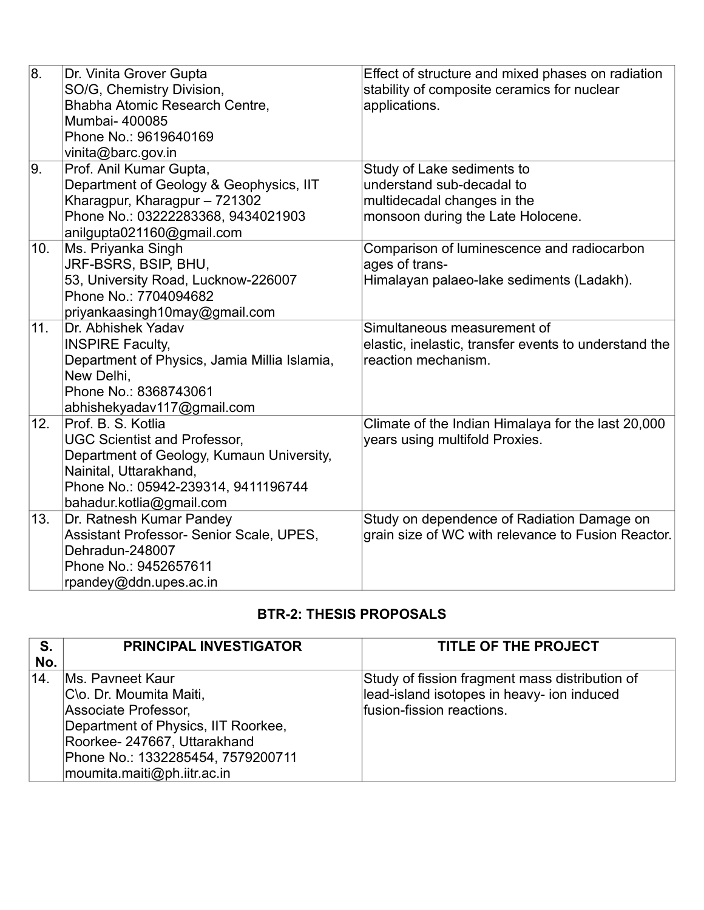| 8.  | Dr. Vinita Grover Gupta<br>SO/G, Chemistry Division,<br>Bhabha Atomic Research Centre,<br>Mumbai- 400085<br>Phone No.: 9619640169<br>vinita@barc.gov.in                                             | Effect of structure and mixed phases on radiation<br>stability of composite ceramics for nuclear<br>applications.           |
|-----|-----------------------------------------------------------------------------------------------------------------------------------------------------------------------------------------------------|-----------------------------------------------------------------------------------------------------------------------------|
| 9.  | Prof. Anil Kumar Gupta,<br>Department of Geology & Geophysics, IIT<br>Kharagpur, Kharagpur - 721302<br>Phone No.: 03222283368, 9434021903<br>anilgupta021160@gmail.com                              | Study of Lake sediments to<br>understand sub-decadal to<br>multidecadal changes in the<br>monsoon during the Late Holocene. |
| 10. | Ms. Priyanka Singh<br>JRF-BSRS, BSIP, BHU,<br>53, University Road, Lucknow-226007<br>Phone No.: 7704094682<br>priyankaasingh10may@gmail.com                                                         | Comparison of luminescence and radiocarbon<br>ages of trans-<br>Himalayan palaeo-lake sediments (Ladakh).                   |
| 11. | Dr. Abhishek Yadav<br><b>INSPIRE Faculty,</b><br>Department of Physics, Jamia Millia Islamia,<br>New Delhi,<br>Phone No.: 8368743061<br>abhishekyadav117@gmail.com                                  | Simultaneous measurement of<br>elastic, inelastic, transfer events to understand the<br>reaction mechanism.                 |
| 12. | Prof. B. S. Kotlia<br><b>UGC Scientist and Professor,</b><br>Department of Geology, Kumaun University,<br>Nainital, Uttarakhand,<br>Phone No.: 05942-239314, 9411196744<br>bahadur.kotlia@gmail.com | Climate of the Indian Himalaya for the last 20,000<br>years using multifold Proxies.                                        |
| 13. | Dr. Ratnesh Kumar Pandey<br>Assistant Professor- Senior Scale, UPES,<br>Dehradun-248007<br>Phone No.: 9452657611<br>rpandey@ddn.upes.ac.in                                                          | Study on dependence of Radiation Damage on<br>grain size of WC with relevance to Fusion Reactor.                            |

## **BTR-2: THESIS PROPOSALS**

| S.<br>No. | <b>PRINCIPAL INVESTIGATOR</b>                                                                                                                                                                                         | <b>TITLE OF THE PROJECT</b>                                                                                               |
|-----------|-----------------------------------------------------------------------------------------------------------------------------------------------------------------------------------------------------------------------|---------------------------------------------------------------------------------------------------------------------------|
| 14.       | <b>Ms. Pavneet Kaur</b><br>C\o. Dr. Moumita Maiti,<br>Associate Professor,<br>Department of Physics, IIT Roorkee,<br>Roorkee- 247667, Uttarakhand<br>Phone No.: 1332285454, 7579200711<br>moumita.maiti@ph.iitr.ac.in | Study of fission fragment mass distribution of<br>lead-island isotopes in heavy- ion induced<br>fusion-fission reactions. |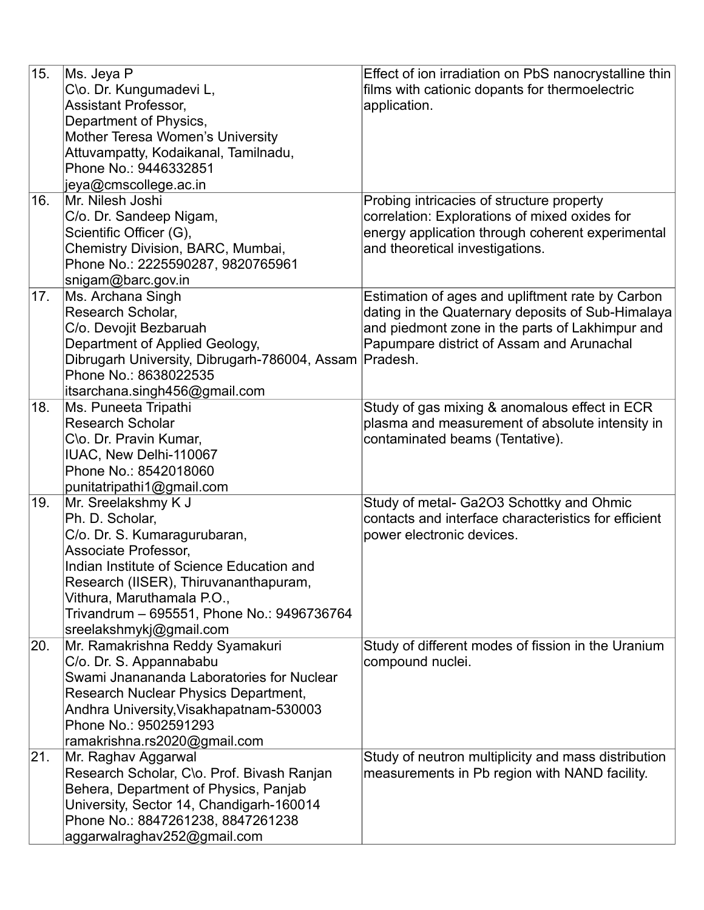| 15. | Ms. Jeya P<br>C\o. Dr. Kungumadevi L,<br><b>Assistant Professor,</b><br>Department of Physics,<br>Mother Teresa Women's University<br>Attuvampatty, Kodaikanal, Tamilnadu,<br>Phone No.: 9446332851<br>jeya@cmscollege.ac.in                                                                | Effect of ion irradiation on PbS nanocrystalline thin<br>films with cationic dopants for thermoelectric<br>application.                                                                                           |
|-----|---------------------------------------------------------------------------------------------------------------------------------------------------------------------------------------------------------------------------------------------------------------------------------------------|-------------------------------------------------------------------------------------------------------------------------------------------------------------------------------------------------------------------|
| 16. | Mr. Nilesh Joshi<br>C/o. Dr. Sandeep Nigam,<br>Scientific Officer (G),<br>Chemistry Division, BARC, Mumbai,<br>Phone No.: 2225590287, 9820765961<br>snigam@barc.gov.in                                                                                                                      | Probing intricacies of structure property<br>correlation: Explorations of mixed oxides for<br>energy application through coherent experimental<br>and theoretical investigations.                                 |
| 17. | Ms. Archana Singh<br>Research Scholar,<br>C/o. Devojit Bezbaruah<br>Department of Applied Geology,<br>Dibrugarh University, Dibrugarh-786004, Assam<br>Phone No.: 8638022535<br>itsarchana.singh456@gmail.com                                                                               | Estimation of ages and upliftment rate by Carbon<br>dating in the Quaternary deposits of Sub-Himalaya<br>and piedmont zone in the parts of Lakhimpur and<br>Papumpare district of Assam and Arunachal<br>Pradesh. |
| 18. | Ms. Puneeta Tripathi<br><b>Research Scholar</b><br>C\o. Dr. Pravin Kumar,<br>IUAC, New Delhi-110067<br>Phone No.: 8542018060<br>punitatripathi1@gmail.com                                                                                                                                   | Study of gas mixing & anomalous effect in ECR<br>plasma and measurement of absolute intensity in<br>contaminated beams (Tentative).                                                                               |
| 19. | Mr. Sreelakshmy K J<br>Ph. D. Scholar,<br>C/o. Dr. S. Kumaragurubaran,<br>Associate Professor.<br>Indian Institute of Science Education and<br>Research (IISER), Thiruvananthapuram,<br>Vithura, Maruthamala P.O.,<br>Trivandrum - 695551, Phone No.: 9496736764<br>sreelakshmykj@gmail.com | Study of metal- Ga2O3 Schottky and Ohmic<br>contacts and interface characteristics for efficient<br>power electronic devices.                                                                                     |
| 20. | Mr. Ramakrishna Reddy Syamakuri<br>C/o. Dr. S. Appannababu<br>Swami Jnanananda Laboratories for Nuclear<br>Research Nuclear Physics Department,<br>Andhra University, Visakhapatnam-530003<br>Phone No.: 9502591293<br>ramakrishna.rs2020@gmail.com                                         | Study of different modes of fission in the Uranium<br>compound nuclei.                                                                                                                                            |
| 21. | Mr. Raghav Aggarwal<br>Research Scholar, C\o. Prof. Bivash Ranjan<br>Behera, Department of Physics, Panjab<br>University, Sector 14, Chandigarh-160014<br>Phone No.: 8847261238, 8847261238<br>aggarwalraghav252@gmail.com                                                                  | Study of neutron multiplicity and mass distribution<br>measurements in Pb region with NAND facility.                                                                                                              |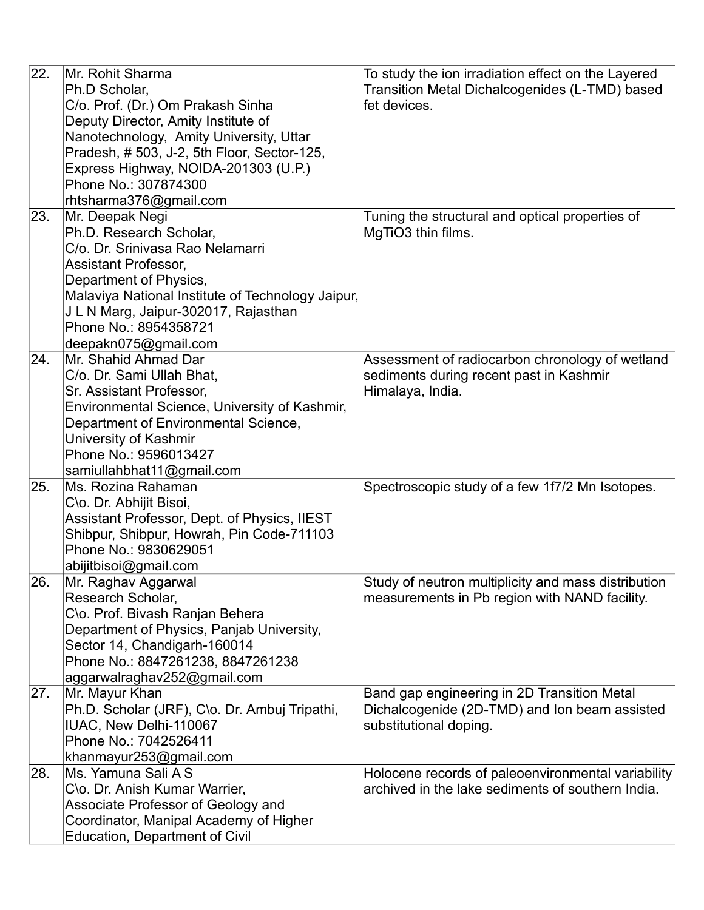| 22. | Mr. Rohit Sharma<br>Ph.D Scholar,<br>C/o. Prof. (Dr.) Om Prakash Sinha<br>Deputy Director, Amity Institute of<br>Nanotechnology, Amity University, Uttar<br>Pradesh, # 503, J-2, 5th Floor, Sector-125,<br>Express Highway, NOIDA-201303 (U.P.)<br>Phone No.: 307874300<br>rhtsharma376@gmail.com | To study the ion irradiation effect on the Layered<br>Transition Metal Dichalcogenides (L-TMD) based<br>fet devices.   |
|-----|---------------------------------------------------------------------------------------------------------------------------------------------------------------------------------------------------------------------------------------------------------------------------------------------------|------------------------------------------------------------------------------------------------------------------------|
| 23. | Mr. Deepak Negi<br>Ph.D. Research Scholar,<br>C/o. Dr. Srinivasa Rao Nelamarri<br><b>Assistant Professor,</b><br>Department of Physics,<br>Malaviya National Institute of Technology Jaipur,<br>J L N Marg, Jaipur-302017, Rajasthan<br>Phone No.: 8954358721<br>deepakn075@gmail.com             | Tuning the structural and optical properties of<br>MgTiO <sub>3</sub> thin films.                                      |
| 24. | Mr. Shahid Ahmad Dar<br>C/o. Dr. Sami Ullah Bhat,<br>Sr. Assistant Professor,<br>Environmental Science, University of Kashmir,<br>Department of Environmental Science,<br>University of Kashmir<br>Phone No.: 9596013427<br>samiullahbhat11@gmail.com                                             | Assessment of radiocarbon chronology of wetland<br>sediments during recent past in Kashmir<br>Himalaya, India.         |
| 25. | Ms. Rozina Rahaman<br>C\o. Dr. Abhijit Bisoi,<br>Assistant Professor, Dept. of Physics, IIEST<br>Shibpur, Shibpur, Howrah, Pin Code-711103<br>Phone No.: 9830629051<br>abijitbisoi@gmail.com                                                                                                      | Spectroscopic study of a few 1f7/2 Mn Isotopes.                                                                        |
| 26. | Mr. Raghav Aggarwal<br>Research Scholar,<br>C\o. Prof. Bivash Ranjan Behera<br>Department of Physics, Panjab University,<br>Sector 14, Chandigarh-160014<br>Phone No.: 8847261238, 8847261238<br>aggarwalraghav252@gmail.com                                                                      | Study of neutron multiplicity and mass distribution<br>measurements in Pb region with NAND facility.                   |
| 27. | Mr. Mayur Khan<br>Ph.D. Scholar (JRF), C\o. Dr. Ambuj Tripathi,<br>IUAC, New Delhi-110067<br>Phone No.: 7042526411<br>khanmayur253@gmail.com                                                                                                                                                      | Band gap engineering in 2D Transition Metal<br>Dichalcogenide (2D-TMD) and Ion beam assisted<br>substitutional doping. |
| 28. | Ms. Yamuna Sali A S<br>C\o. Dr. Anish Kumar Warrier,<br>Associate Professor of Geology and<br>Coordinator, Manipal Academy of Higher<br><b>Education, Department of Civil</b>                                                                                                                     | Holocene records of paleoenvironmental variability<br>archived in the lake sediments of southern India.                |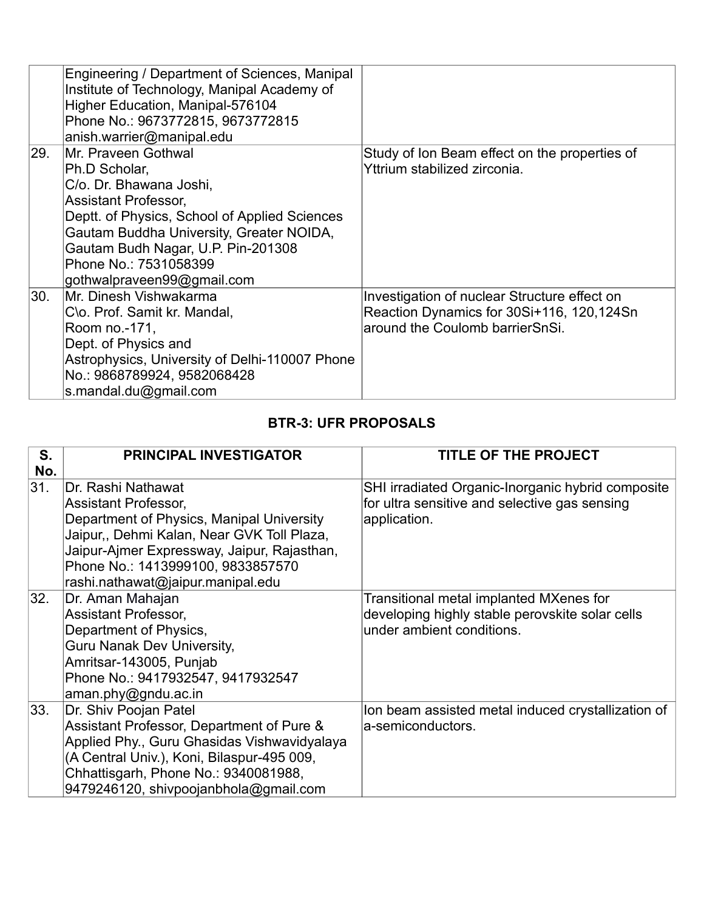|     | Engineering / Department of Sciences, Manipal<br>Institute of Technology, Manipal Academy of<br>Higher Education, Manipal-576104<br>Phone No.: 9673772815, 9673772815<br>anish.warrier@manipal.edu                                                                                       |                                                                                                                              |
|-----|------------------------------------------------------------------------------------------------------------------------------------------------------------------------------------------------------------------------------------------------------------------------------------------|------------------------------------------------------------------------------------------------------------------------------|
| 29. | Mr. Praveen Gothwal<br>Ph.D Scholar,<br>C/o. Dr. Bhawana Joshi,<br><b>Assistant Professor,</b><br>Deptt. of Physics, School of Applied Sciences<br>Gautam Buddha University, Greater NOIDA,<br>Gautam Budh Nagar, U.P. Pin-201308<br>Phone No.: 7531058399<br>gothwalpraveen99@gmail.com | Study of Ion Beam effect on the properties of<br>Yttrium stabilized zirconia.                                                |
| 30. | Mr. Dinesh Vishwakarma<br>C\o. Prof. Samit kr. Mandal,<br>Room no.-171,<br>Dept. of Physics and<br>Astrophysics, University of Delhi-110007 Phone<br>No.: 9868789924, 9582068428<br>s.mandal.du@gmail.com                                                                                | Investigation of nuclear Structure effect on<br>Reaction Dynamics for 30Si+116, 120,124Sn<br>around the Coulomb barrierSnSi. |

# **BTR-3: UFR PROPOSALS**

| S.<br>No. | <b>PRINCIPAL INVESTIGATOR</b>                                                                                                                                                                                                                                         | <b>TITLE OF THE PROJECT</b>                                                                                             |
|-----------|-----------------------------------------------------------------------------------------------------------------------------------------------------------------------------------------------------------------------------------------------------------------------|-------------------------------------------------------------------------------------------------------------------------|
| 31.       | Dr. Rashi Nathawat<br><b>Assistant Professor,</b><br>Department of Physics, Manipal University<br>Jaipur,, Dehmi Kalan, Near GVK Toll Plaza,<br>Jaipur-Ajmer Expressway, Jaipur, Rajasthan,<br>Phone No.: 1413999100, 9833857570<br>rashi.nathawat@jaipur.manipal.edu | SHI irradiated Organic-Inorganic hybrid composite<br>for ultra sensitive and selective gas sensing<br>application.      |
| 32.       | Dr. Aman Mahajan<br><b>Assistant Professor,</b><br>Department of Physics,<br>Guru Nanak Dev University,<br>Amritsar-143005, Punjab<br>Phone No.: 9417932547, 9417932547<br>aman.phy@gndu.ac.in                                                                        | Transitional metal implanted MXenes for<br>developing highly stable perovskite solar cells<br>under ambient conditions. |
| 33.       | Dr. Shiv Poojan Patel<br>Assistant Professor, Department of Pure &<br>Applied Phy., Guru Ghasidas Vishwavidyalaya<br>(A Central Univ.), Koni, Bilaspur-495 009,<br>Chhattisgarh, Phone No.: 9340081988,<br>9479246120, shivpoojanbhola@gmail.com                      | Ion beam assisted metal induced crystallization of<br>a-semiconductors.                                                 |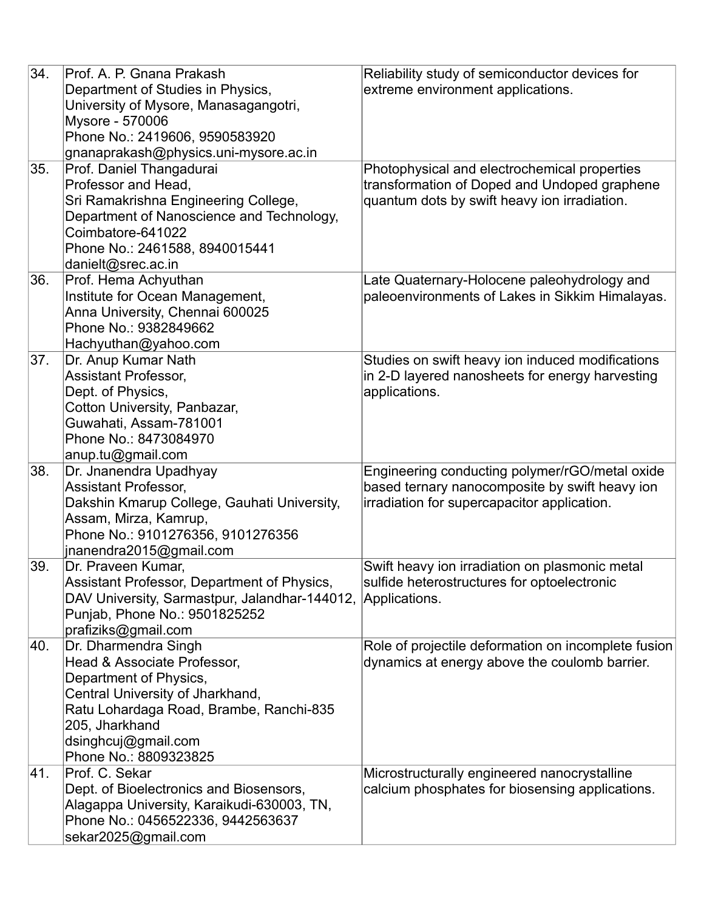| 34. | Prof. A. P. Gnana Prakash<br>Department of Studies in Physics,<br>University of Mysore, Manasagangotri,<br>Mysore - 570006<br>Phone No.: 2419606, 9590583920<br>gnanaprakash@physics.uni-mysore.ac.in                          | Reliability study of semiconductor devices for<br>extreme environment applications.                                                             |
|-----|--------------------------------------------------------------------------------------------------------------------------------------------------------------------------------------------------------------------------------|-------------------------------------------------------------------------------------------------------------------------------------------------|
| 35. | Prof. Daniel Thangadurai<br>Professor and Head.<br>Sri Ramakrishna Engineering College,<br>Department of Nanoscience and Technology,<br>Coimbatore-641022<br>Phone No.: 2461588, 8940015441<br>danielt@srec.ac.in              | Photophysical and electrochemical properties<br>transformation of Doped and Undoped graphene<br>quantum dots by swift heavy ion irradiation.    |
| 36. | Prof. Hema Achyuthan<br>Institute for Ocean Management,<br>Anna University, Chennai 600025<br>Phone No.: 9382849662<br>Hachyuthan@yahoo.com                                                                                    | Late Quaternary-Holocene paleohydrology and<br>paleoenvironments of Lakes in Sikkim Himalayas.                                                  |
| 37. | Dr. Anup Kumar Nath<br><b>Assistant Professor,</b><br>Dept. of Physics,<br>Cotton University, Panbazar,<br>Guwahati, Assam-781001<br>Phone No.: 8473084970<br>anup.tu@gmail.com                                                | Studies on swift heavy ion induced modifications<br>in 2-D layered nanosheets for energy harvesting<br>applications.                            |
| 38. | Dr. Jnanendra Upadhyay<br><b>Assistant Professor,</b><br>Dakshin Kmarup College, Gauhati University,<br>Assam, Mirza, Kamrup,<br>Phone No.: 9101276356, 9101276356<br>jnanendra2015@gmail.com                                  | Engineering conducting polymer/rGO/metal oxide<br>based ternary nanocomposite by swift heavy ion<br>irradiation for supercapacitor application. |
| 39. | Dr. Praveen Kumar,<br>Assistant Professor, Department of Physics,<br>DAV University, Sarmastpur, Jalandhar-144012, Applications.<br>Punjab, Phone No.: 9501825252<br>prafiziks@gmail.com                                       | Swift heavy ion irradiation on plasmonic metal<br>sulfide heterostructures for optoelectronic                                                   |
| 40. | Dr. Dharmendra Singh<br>Head & Associate Professor,<br>Department of Physics,<br>Central University of Jharkhand,<br>Ratu Lohardaga Road, Brambe, Ranchi-835<br>205, Jharkhand<br>dsinghcuj@gmail.com<br>Phone No.: 8809323825 | Role of projectile deformation on incomplete fusion<br>dynamics at energy above the coulomb barrier.                                            |
| 41. | Prof. C. Sekar<br>Dept. of Bioelectronics and Biosensors,<br>Alagappa University, Karaikudi-630003, TN,<br>Phone No.: 0456522336, 9442563637<br>sekar2025@gmail.com                                                            | Microstructurally engineered nanocrystalline<br>calcium phosphates for biosensing applications.                                                 |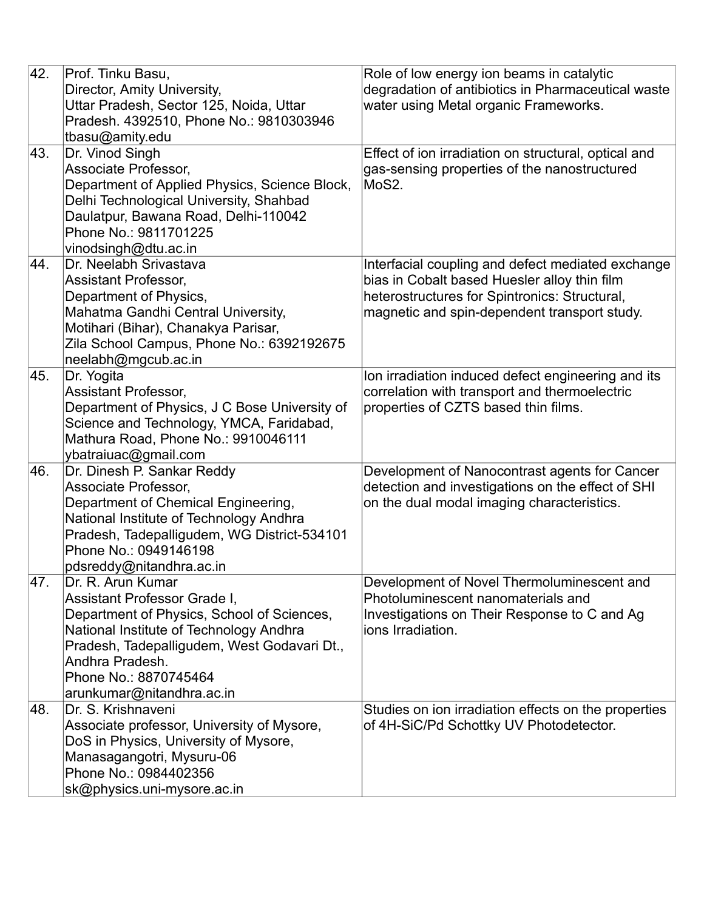| 42.  | Prof. Tinku Basu,<br>Director, Amity University,<br>Uttar Pradesh, Sector 125, Noida, Uttar<br>Pradesh. 4392510, Phone No.: 9810303946<br>tbasu@amity.edu                                                                                                          | Role of low energy ion beams in catalytic<br>degradation of antibiotics in Pharmaceutical waste<br>water using Metal organic Frameworks.                                                           |
|------|--------------------------------------------------------------------------------------------------------------------------------------------------------------------------------------------------------------------------------------------------------------------|----------------------------------------------------------------------------------------------------------------------------------------------------------------------------------------------------|
| 43.  | Dr. Vinod Singh<br>Associate Professor,<br>Department of Applied Physics, Science Block,<br>Delhi Technological University, Shahbad<br>Daulatpur, Bawana Road, Delhi-110042<br>Phone No.: 9811701225<br>vinodsingh@dtu.ac.in                                       | Effect of ion irradiation on structural, optical and<br>gas-sensing properties of the nanostructured<br>MoS2.                                                                                      |
| 44.  | Dr. Neelabh Srivastava<br><b>Assistant Professor,</b><br>Department of Physics,<br>Mahatma Gandhi Central University,<br>Motihari (Bihar), Chanakya Parisar,<br>Zila School Campus, Phone No.: 6392192675<br>neelabh@mgcub.ac.in                                   | Interfacial coupling and defect mediated exchange<br>bias in Cobalt based Huesler alloy thin film<br>heterostructures for Spintronics: Structural,<br>magnetic and spin-dependent transport study. |
| 45.  | Dr. Yogita<br><b>Assistant Professor,</b><br>Department of Physics, J C Bose University of<br>Science and Technology, YMCA, Faridabad,<br>Mathura Road, Phone No.: 9910046111<br>ybatraiuac@gmail.com                                                              | Ion irradiation induced defect engineering and its<br>correlation with transport and thermoelectric<br>properties of CZTS based thin films.                                                        |
| 46.  | Dr. Dinesh P. Sankar Reddy<br>Associate Professor,<br>Department of Chemical Engineering,<br>National Institute of Technology Andhra<br>Pradesh, Tadepalligudem, WG District-534101<br>Phone No.: 0949146198<br>pdsreddy@nitandhra.ac.in                           | Development of Nanocontrast agents for Cancer<br>detection and investigations on the effect of SHI<br>on the dual modal imaging characteristics.                                                   |
| 47.  | Dr. R. Arun Kumar<br>Assistant Professor Grade I,<br>Department of Physics, School of Sciences,<br>National Institute of Technology Andhra<br>Pradesh, Tadepalligudem, West Godavari Dt.,<br>Andhra Pradesh.<br>Phone No.: 8870745464<br>arunkumar@nitandhra.ac.in | Development of Novel Thermoluminescent and<br>Photoluminescent nanomaterials and<br>Investigations on Their Response to C and Ag<br>ions Irradiation.                                              |
| ∣48. | Dr. S. Krishnaveni<br>Associate professor, University of Mysore,<br>DoS in Physics, University of Mysore,<br>Manasagangotri, Mysuru-06<br>Phone No.: 0984402356<br>sk@physics.uni-mysore.ac.in                                                                     | Studies on ion irradiation effects on the properties<br>of 4H-SiC/Pd Schottky UV Photodetector.                                                                                                    |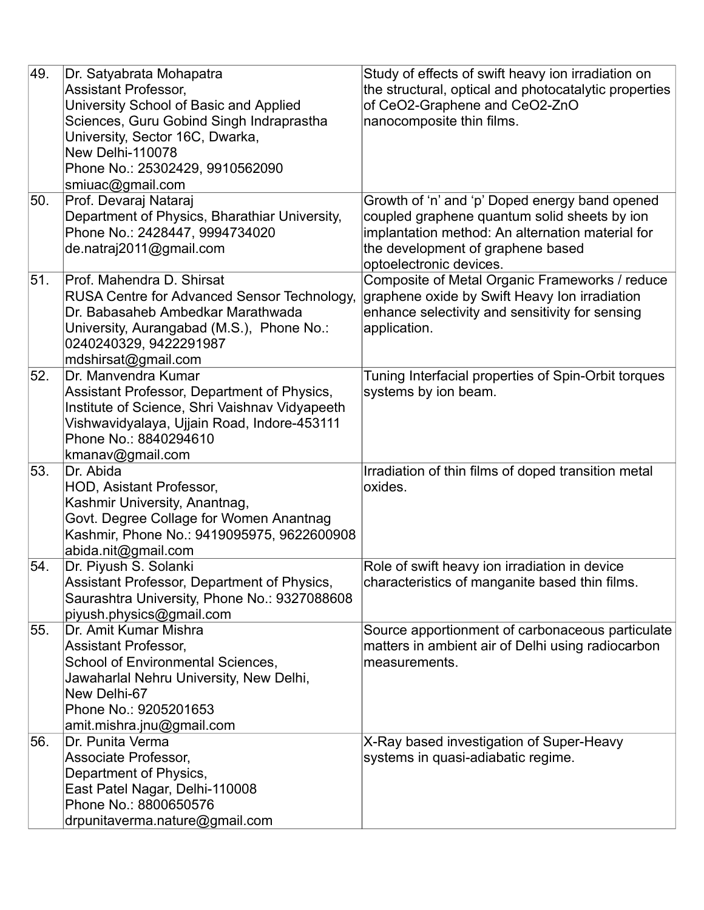| 49. | Dr. Satyabrata Mohapatra<br>Assistant Professor,<br>University School of Basic and Applied<br>Sciences, Guru Gobind Singh Indraprastha<br>University, Sector 16C, Dwarka,<br>New Delhi-110078<br>Phone No.: 25302429, 9910562090<br>smiuac@gmail.com | Study of effects of swift heavy ion irradiation on<br>the structural, optical and photocatalytic properties<br>of CeO2-Graphene and CeO2-ZnO<br>nanocomposite thin films.                                          |
|-----|------------------------------------------------------------------------------------------------------------------------------------------------------------------------------------------------------------------------------------------------------|--------------------------------------------------------------------------------------------------------------------------------------------------------------------------------------------------------------------|
| 50. | Prof. Devaraj Nataraj<br>Department of Physics, Bharathiar University,<br>Phone No.: 2428447, 9994734020<br>de.natraj2011@gmail.com                                                                                                                  | Growth of 'n' and 'p' Doped energy band opened<br>coupled graphene quantum solid sheets by ion<br>implantation method: An alternation material for<br>the development of graphene based<br>optoelectronic devices. |
| 51. | Prof. Mahendra D. Shirsat<br>RUSA Centre for Advanced Sensor Technology,<br>Dr. Babasaheb Ambedkar Marathwada<br>University, Aurangabad (M.S.), Phone No.:<br>0240240329, 9422291987<br>mdshirsat@gmail.com                                          | Composite of Metal Organic Frameworks / reduce<br>graphene oxide by Swift Heavy Ion irradiation<br>enhance selectivity and sensitivity for sensing<br>application.                                                 |
| 52. | Dr. Manvendra Kumar<br>Assistant Professor, Department of Physics,<br>Institute of Science, Shri Vaishnav Vidyapeeth<br>Vishwavidyalaya, Ujjain Road, Indore-453111<br>Phone No.: 8840294610<br>kmanav@gmail.com                                     | Tuning Interfacial properties of Spin-Orbit torques<br>systems by ion beam.                                                                                                                                        |
| 53. | Dr. Abida<br>HOD, Asistant Professor,<br>Kashmir University, Anantnag,<br>Govt. Degree Collage for Women Anantnag<br>Kashmir, Phone No.: 9419095975, 9622600908<br>abida.nit@gmail.com                                                               | Irradiation of thin films of doped transition metal<br>oxides.                                                                                                                                                     |
| 54. | Dr. Piyush S. Solanki<br>Assistant Professor, Department of Physics,<br>Saurashtra University, Phone No.: 9327088608<br>piyush.physics@gmail.com                                                                                                     | Role of swift heavy ion irradiation in device<br>characteristics of manganite based thin films.                                                                                                                    |
| 55. | Dr. Amit Kumar Mishra<br>Assistant Professor,<br>School of Environmental Sciences,<br>Jawaharlal Nehru University, New Delhi,<br>New Delhi-67<br>Phone No.: 9205201653<br>amit.mishra.jnu@gmail.com                                                  | Source apportionment of carbonaceous particulate<br>matters in ambient air of Delhi using radiocarbon<br>measurements.                                                                                             |
| 56. | Dr. Punita Verma<br>Associate Professor,<br>Department of Physics,<br>East Patel Nagar, Delhi-110008<br>Phone No.: 8800650576<br>drpunitaverma.nature@gmail.com                                                                                      | X-Ray based investigation of Super-Heavy<br>systems in quasi-adiabatic regime.                                                                                                                                     |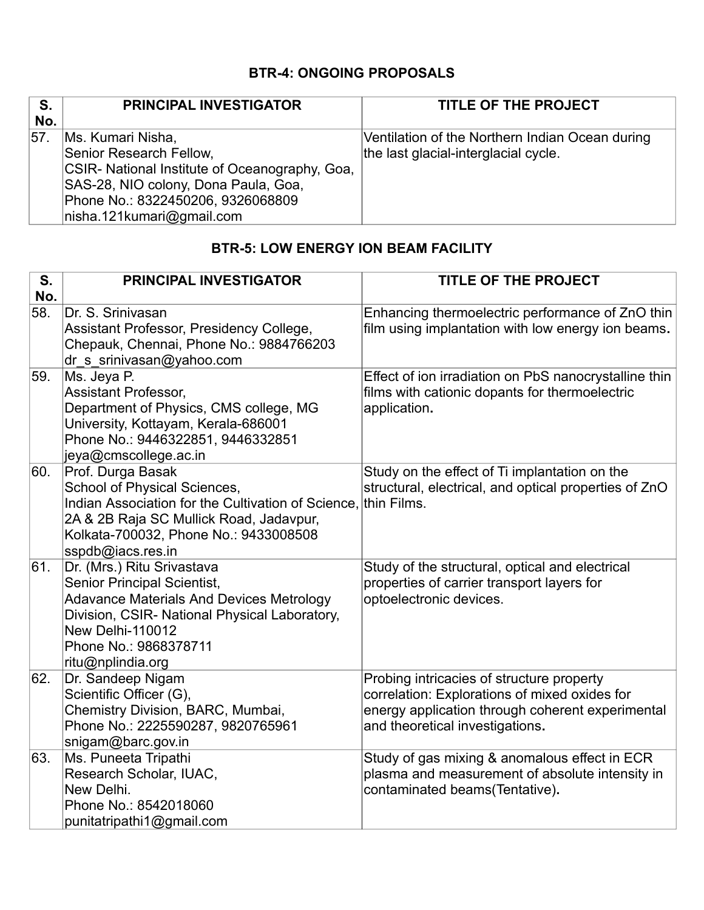## **BTR-4: ONGOING PROPOSALS**

| S.<br>No. | <b>PRINCIPAL INVESTIGATOR</b>                                                                                                                                                                            | <b>TITLE OF THE PROJECT</b>                                                             |
|-----------|----------------------------------------------------------------------------------------------------------------------------------------------------------------------------------------------------------|-----------------------------------------------------------------------------------------|
| 57.       | Ms. Kumari Nisha,<br>Senior Research Fellow,<br>CSIR- National Institute of Oceanography, Goa,<br>SAS-28, NIO colony, Dona Paula, Goa,<br>Phone No.: 8322450206, 9326068809<br>nisha.121kumari@gmail.com | Ventilation of the Northern Indian Ocean during<br>the last glacial-interglacial cycle. |

## **BTR-5: LOW ENERGY ION BEAM FACILITY**

| S.  | <b>PRINCIPAL INVESTIGATOR</b>                      | <b>TITLE OF THE PROJECT</b>                                                                             |
|-----|----------------------------------------------------|---------------------------------------------------------------------------------------------------------|
| No. |                                                    |                                                                                                         |
| 58. | Dr. S. Srinivasan                                  | Enhancing thermoelectric performance of ZnO thin                                                        |
|     | Assistant Professor, Presidency College,           | film using implantation with low energy ion beams.                                                      |
|     | Chepauk, Chennai, Phone No.: 9884766203            |                                                                                                         |
| 59. | dr_s_srinivasan@yahoo.com                          |                                                                                                         |
|     | Ms. Jeya P.<br><b>Assistant Professor,</b>         | Effect of ion irradiation on PbS nanocrystalline thin<br>films with cationic dopants for thermoelectric |
|     | Department of Physics, CMS college, MG             | application.                                                                                            |
|     | University, Kottayam, Kerala-686001                |                                                                                                         |
|     | Phone No.: 9446322851, 9446332851                  |                                                                                                         |
|     | jeya@cmscollege.ac.in                              |                                                                                                         |
| 60. | Prof. Durga Basak                                  | Study on the effect of Ti implantation on the                                                           |
|     | School of Physical Sciences,                       | structural, electrical, and optical properties of ZnO                                                   |
|     | Indian Association for the Cultivation of Science, | thin Films.                                                                                             |
|     | 2A & 2B Raja SC Mullick Road, Jadavpur,            |                                                                                                         |
|     | Kolkata-700032, Phone No.: 9433008508              |                                                                                                         |
|     | sspdb@iacs.res.in                                  |                                                                                                         |
| 61. | Dr. (Mrs.) Ritu Srivastava                         | Study of the structural, optical and electrical                                                         |
|     | Senior Principal Scientist,                        | properties of carrier transport layers for                                                              |
|     | <b>Adavance Materials And Devices Metrology</b>    | optoelectronic devices.                                                                                 |
|     | Division, CSIR- National Physical Laboratory,      |                                                                                                         |
|     | New Delhi-110012                                   |                                                                                                         |
|     | Phone No.: 9868378711                              |                                                                                                         |
| 62. | ritu@nplindia.org<br>Dr. Sandeep Nigam             | Probing intricacies of structure property                                                               |
|     | Scientific Officer (G),                            | correlation: Explorations of mixed oxides for                                                           |
|     | Chemistry Division, BARC, Mumbai,                  | energy application through coherent experimental                                                        |
|     | Phone No.: 2225590287, 9820765961                  | and theoretical investigations.                                                                         |
|     | snigam@barc.gov.in                                 |                                                                                                         |
| 63. | Ms. Puneeta Tripathi                               | Study of gas mixing & anomalous effect in ECR                                                           |
|     | Research Scholar, IUAC,                            | plasma and measurement of absolute intensity in                                                         |
|     | New Delhi.                                         | contaminated beams(Tentative).                                                                          |
|     | Phone No.: 8542018060                              |                                                                                                         |
|     | punitatripathi1@gmail.com                          |                                                                                                         |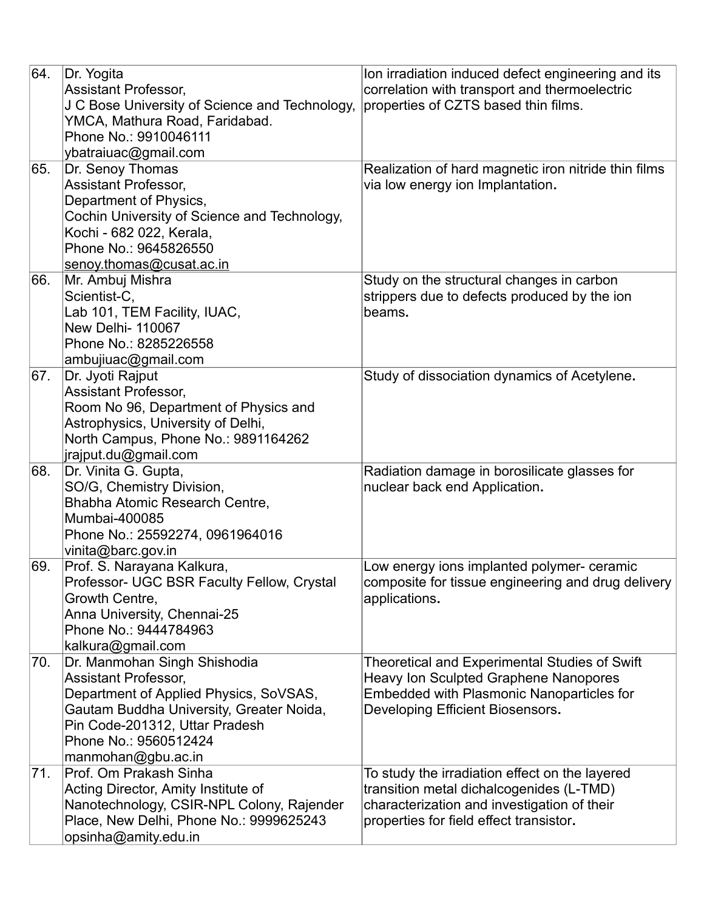| 64. | Dr. Yogita                                       | Ion irradiation induced defect engineering and its                                               |
|-----|--------------------------------------------------|--------------------------------------------------------------------------------------------------|
|     | <b>Assistant Professor,</b>                      | correlation with transport and thermoelectric                                                    |
|     | J C Bose University of Science and Technology,   | properties of CZTS based thin films.                                                             |
|     | YMCA, Mathura Road, Faridabad.                   |                                                                                                  |
|     | Phone No.: 9910046111                            |                                                                                                  |
|     | ybatraiuac@gmail.com                             |                                                                                                  |
| 65. | Dr. Senoy Thomas                                 | Realization of hard magnetic iron nitride thin films                                             |
|     | <b>Assistant Professor,</b>                      | via low energy ion Implantation.                                                                 |
|     | Department of Physics,                           |                                                                                                  |
|     | Cochin University of Science and Technology,     |                                                                                                  |
|     | Kochi - 682 022, Kerala,                         |                                                                                                  |
|     | Phone No.: 9645826550                            |                                                                                                  |
|     | senoy.thomas@cusat.ac.in                         |                                                                                                  |
| 66. | Mr. Ambuj Mishra                                 | Study on the structural changes in carbon                                                        |
|     | Scientist-C,                                     | strippers due to defects produced by the ion                                                     |
|     | Lab 101, TEM Facility, IUAC,                     | beams.                                                                                           |
|     | <b>New Delhi- 110067</b>                         |                                                                                                  |
|     | Phone No.: 8285226558                            |                                                                                                  |
|     | ambujiuac@gmail.com                              |                                                                                                  |
| 67. | Dr. Jyoti Rajput                                 | Study of dissociation dynamics of Acetylene.                                                     |
|     | <b>Assistant Professor,</b>                      |                                                                                                  |
|     | Room No 96, Department of Physics and            |                                                                                                  |
|     | Astrophysics, University of Delhi,               |                                                                                                  |
|     | North Campus, Phone No.: 9891164262              |                                                                                                  |
|     | jrajput.du@gmail.com                             |                                                                                                  |
| 68. | Dr. Vinita G. Gupta,                             | Radiation damage in borosilicate glasses for                                                     |
|     | SO/G, Chemistry Division,                        | nuclear back end Application.                                                                    |
|     | Bhabha Atomic Research Centre,                   |                                                                                                  |
|     | Mumbai-400085                                    |                                                                                                  |
|     | Phone No.: 25592274, 0961964016                  |                                                                                                  |
| 69. | vinita@barc.gov.in<br>Prof. S. Narayana Kalkura, |                                                                                                  |
|     | Professor- UGC BSR Faculty Fellow, Crystal       | Low energy ions implanted polymer- ceramic<br>composite for tissue engineering and drug delivery |
|     | Growth Centre,                                   | applications.                                                                                    |
|     | Anna University, Chennai-25                      |                                                                                                  |
|     | Phone No.: 9444784963                            |                                                                                                  |
|     | kalkura@gmail.com                                |                                                                                                  |
| 70. | Dr. Manmohan Singh Shishodia                     | Theoretical and Experimental Studies of Swift                                                    |
|     | <b>Assistant Professor,</b>                      | <b>Heavy Ion Sculpted Graphene Nanopores</b>                                                     |
|     | Department of Applied Physics, SoVSAS,           | Embedded with Plasmonic Nanoparticles for                                                        |
|     | Gautam Buddha University, Greater Noida,         | Developing Efficient Biosensors.                                                                 |
|     | Pin Code-201312, Uttar Pradesh                   |                                                                                                  |
|     | Phone No.: 9560512424                            |                                                                                                  |
|     | manmohan@gbu.ac.in                               |                                                                                                  |
| 71. | Prof. Om Prakash Sinha                           | To study the irradiation effect on the layered                                                   |
|     | Acting Director, Amity Institute of              | transition metal dichalcogenides (L-TMD)                                                         |
|     | Nanotechnology, CSIR-NPL Colony, Rajender        | characterization and investigation of their                                                      |
|     | Place, New Delhi, Phone No.: 9999625243          | properties for field effect transistor.                                                          |
|     | opsinha@amity.edu.in                             |                                                                                                  |